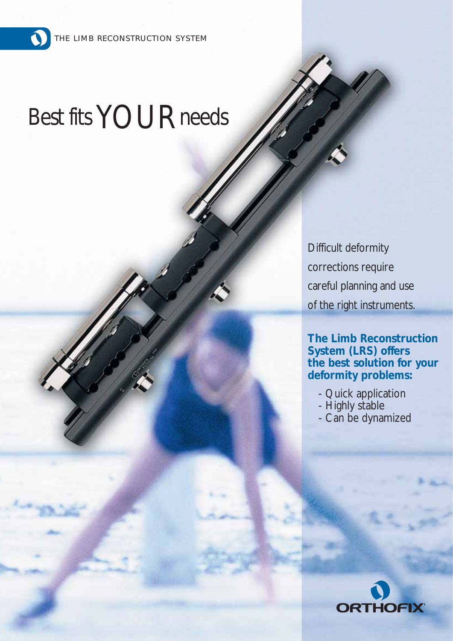$\mathbf \Omega$ 

# Best fits YOUR needs

Difficult deformity corrections require careful planning and use of the right instruments.

**The Limb Reconstruction System (LRS) offers the best solution for your deformity problems:**

- Quick application
- Highly stable
- Can be dynamized

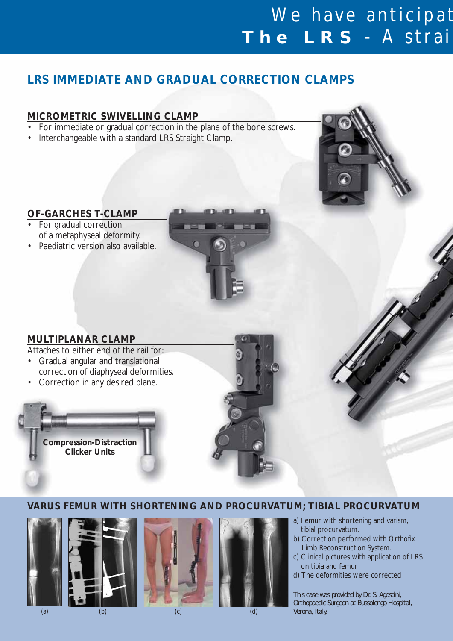## We have anticipat **The LRS** - A straig

## **LRS IMMEDIATE AND GRADUAL CORRECTION CLAMPS**

## **MICROMETRIC SWIVELLING CLAMP**

- For immediate or gradual correction in the plane of the bone screws.
- Interchangeable with a standard LRS Straight Clamp.

#### **OF-GARCHES T-CLAMP**

- For gradual correction of a metaphyseal deformity.
- Paediatric version also available.



### **MULTIPLANAR CLAMP**

Attaches to either end of the rail for:

- Gradual angular and translational correction of diaphyseal deformities.
- Correction in any desired plane.



## **VARUS FEMUR WITH SHORTENING AND PROCURVATUM; TIBIAL PROCURVATUM**







(b) (c) (d)





a) Femur with shortening and varism, tibial procurvatum.

- b) Correction performed with Orthofix Limb Reconstruction System.
- c) Clinical pictures with application of LRS on tibia and femur
- d) The deformities were corrected

*This case was provided by Dr. S. Agostini, Orthopaedic Surgeon at Bussolengo Hospital, Verona, Italy.*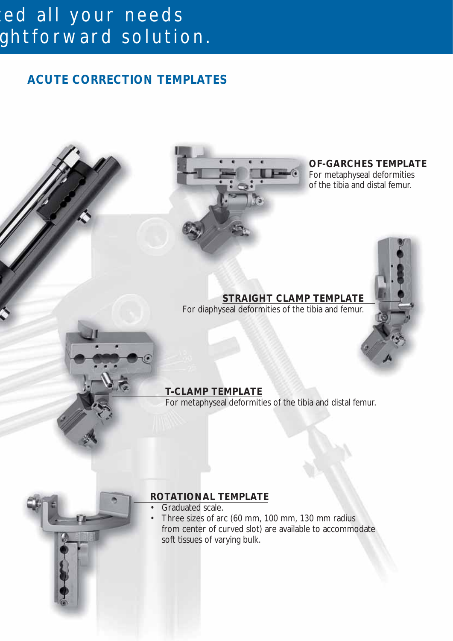## ed all your needs ghtforward solution.

## **ACUTE CORRECTION TEMPLATES**



**OF-GARCHES TEMPLATE**

For metaphyseal deformities of the tibia and distal femur.

## **STRAIGHT CLAMP TEMPLATE**

For diaphyseal deformities of the tibia and femur.

## **T-CLAMP TEMPLATE**

For metaphyseal deformities of the tibia and distal femur.



## **ROTATIONAL TEMPLATE**

- Graduated scale.
- Three sizes of arc (60 mm, 100 mm, 130 mm radius from center of curved slot) are available to accommodate soft tissues of varying bulk.